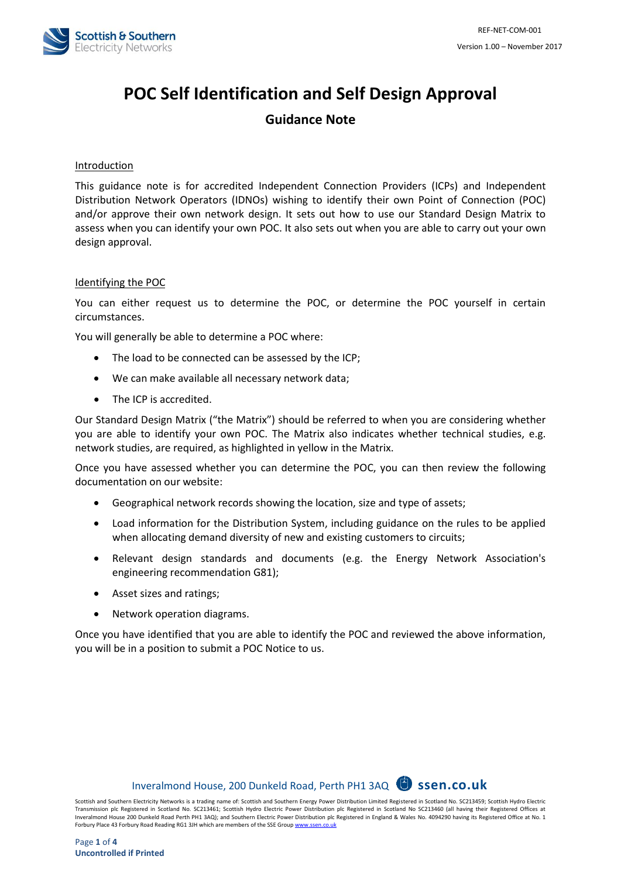

# **POC Self Identification and Self Design Approval**

## **Guidance Note**

#### Introduction

This guidance note is for accredited Independent Connection Providers (ICPs) and Independent Distribution Network Operators (IDNOs) wishing to identify their own Point of Connection (POC) and/or approve their own network design. It sets out how to use our Standard Design Matrix to assess when you can identify your own POC. It also sets out when you are able to carry out your own design approval.

#### Identifying the POC

You can either request us to determine the POC, or determine the POC yourself in certain circumstances.

You will generally be able to determine a POC where:

- The load to be connected can be assessed by the ICP;
- We can make available all necessary network data;
- The ICP is accredited.

Our Standard Design Matrix ("the Matrix") should be referred to when you are considering whether you are able to identify your own POC. The Matrix also indicates whether technical studies, e.g. network studies, are required, as highlighted in yellow in the Matrix.

Once you have assessed whether you can determine the POC, you can then review the following documentation on our website:

- Geographical network records showing the location, size and type of assets;
- Load information for the Distribution System, including guidance on the rules to be applied when allocating demand diversity of new and existing customers to circuits;
- Relevant design standards and documents (e.g. the Energy Network Association's engineering recommendation G81);
- Asset sizes and ratings;
- Network operation diagrams.

Once you have identified that you are able to identify the POC and reviewed the above information, you will be in a position to submit a POC Notice to us.

# Inveralmond House, 200 Dunkeld Road, Perth PH1 3AQ **ssen.co.uk**

Scottish and Southern Electricity Networks is a trading name of: Scottish and Southern Energy Power Distribution Limited Registered in Scotland No. SC213459; Scottish Hydro Electric Transmission plc Registered in Scotland No. SC213461; Scottish Hydro Electric Power Distribution plc Registered in Scotland No SC213460 (all having their Registered Offices at Inveralmond House 200 Dunkeld Road Perth PH1 3AQ); and Southern Electric Power Distribution plc Registered in England & Wales No. 4094290 having its Registered Office at No. 1 Forbury Place 43 Forbury Road Reading RG1 3JH which are members of the SSE Group www.sse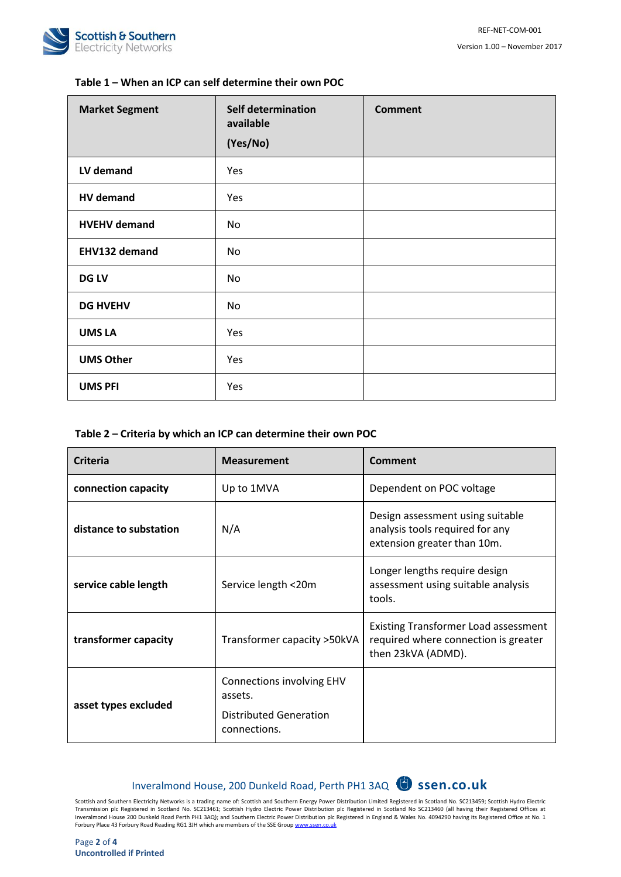

### **Table 1 – When an ICP can self determine their own POC**

| <b>Market Segment</b> | <b>Self determination</b><br>available<br>(Yes/No) | <b>Comment</b> |
|-----------------------|----------------------------------------------------|----------------|
| LV demand             | Yes                                                |                |
| <b>HV</b> demand      | Yes                                                |                |
| <b>HVEHV demand</b>   | No                                                 |                |
| EHV132 demand         | No                                                 |                |
| <b>DG LV</b>          | No                                                 |                |
| <b>DG HVEHV</b>       | No                                                 |                |
| <b>UMS LA</b>         | Yes                                                |                |
| <b>UMS Other</b>      | Yes                                                |                |
| <b>UMS PFI</b>        | Yes                                                |                |

#### **Table 2 – Criteria by which an ICP can determine their own POC**

| <b>Criteria</b>        | <b>Measurement</b>                                                                    | Comment                                                                                                   |
|------------------------|---------------------------------------------------------------------------------------|-----------------------------------------------------------------------------------------------------------|
| connection capacity    | Up to 1MVA                                                                            | Dependent on POC voltage                                                                                  |
| distance to substation | N/A                                                                                   | Design assessment using suitable<br>analysis tools required for any<br>extension greater than 10m.        |
| service cable length   | Service length <20m                                                                   | Longer lengths require design<br>assessment using suitable analysis<br>tools.                             |
| transformer capacity   | Transformer capacity > 50kVA                                                          | <b>Existing Transformer Load assessment</b><br>required where connection is greater<br>then 23kVA (ADMD). |
| asset types excluded   | <b>Connections involving EHV</b><br>assets.<br>Distributed Generation<br>connections. |                                                                                                           |

# Inveralmond House, 200 Dunkeld Road, Perth PH1 3AQ **ssen.co.uk**

Scottish and Southern Electricity Networks is a trading name of: Scottish and Southern Energy Power Distribution Limited Registered in Scotland No. SC213459; Scottish Hydro Electric Transmission plc Registered in Scotland No. SC213461; Scottish Hydro Electric Power Distribution plc Registered in Scotland No SC213460 (all having their Registered Offices at<br>Inveralmond House 200 Dunkeld Road Perth PH1 3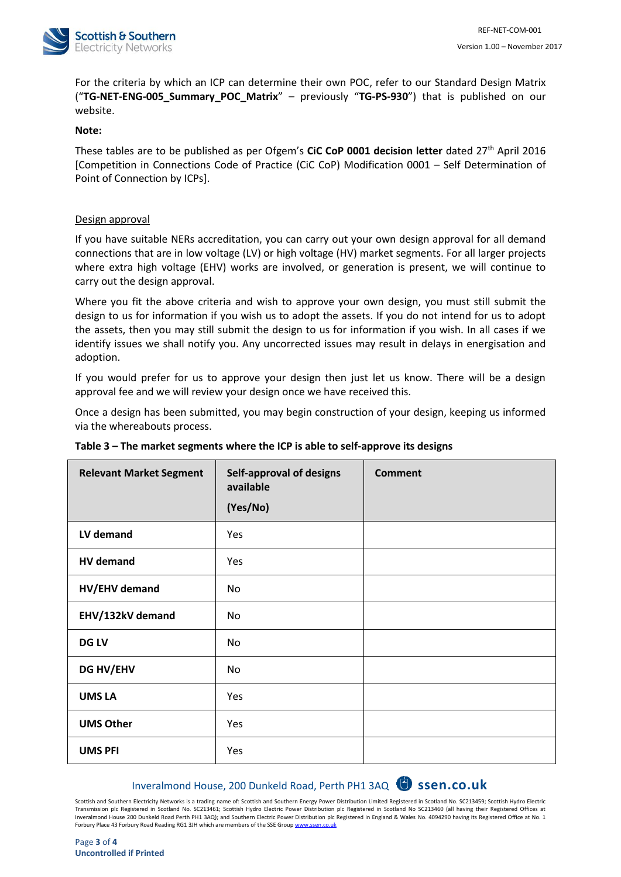

For the criteria by which an ICP can determine their own POC, refer to our Standard Design Matrix ("**TG-NET-ENG-005\_Summary\_POC\_Matrix**" – previously "**TG-PS-930**") that is published on our website.

#### **Note:**

These tables are to be published as per Ofgem's **CiC CoP 0001 decision letter** dated 27th April 2016 [Competition in Connections Code of Practice (CiC CoP) Modification 0001 – Self Determination of Point of Connection by ICPs].

#### Design approval

If you have suitable NERs accreditation, you can carry out your own design approval for all demand connections that are in low voltage (LV) or high voltage (HV) market segments. For all larger projects where extra high voltage (EHV) works are involved, or generation is present, we will continue to carry out the design approval.

Where you fit the above criteria and wish to approve your own design, you must still submit the design to us for information if you wish us to adopt the assets. If you do not intend for us to adopt the assets, then you may still submit the design to us for information if you wish. In all cases if we identify issues we shall notify you. Any uncorrected issues may result in delays in energisation and adoption.

If you would prefer for us to approve your design then just let us know. There will be a design approval fee and we will review your design once we have received this.

Once a design has been submitted, you may begin construction of your design, keeping us informed via the whereabouts process.

| <b>Relevant Market Segment</b> | <b>Self-approval of designs</b><br>available<br>(Yes/No) | <b>Comment</b> |
|--------------------------------|----------------------------------------------------------|----------------|
| LV demand                      | Yes                                                      |                |
| <b>HV</b> demand               | Yes                                                      |                |
| HV/EHV demand                  | No                                                       |                |
| EHV/132kV demand               | No                                                       |                |
| <b>DG LV</b>                   | No                                                       |                |
| <b>DG HV/EHV</b>               | No                                                       |                |
| <b>UMS LA</b>                  | Yes                                                      |                |
| <b>UMS Other</b>               | Yes                                                      |                |
| <b>UMS PFI</b>                 | Yes                                                      |                |

#### **Table 3 – The market segments where the ICP is able to self-approve its designs**

# Inveralmond House, 200 Dunkeld Road, Perth PH1 3AQ **ssen.co.uk**

Scottish and Southern Electricity Networks is a trading name of: Scottish and Southern Energy Power Distribution Limited Registered in Scotland No. SC213459; Scottish Hydro Electric Transmission plc Registered in Scotland No. SC213461; Scottish Hydro Electric Power Distribution plc Registered in Scotland No SC213460 (all having their Registered Offices at Inveralmond House 200 Dunkeld Road Perth PH1 3AQ); and Southern Electric Power Distribution plc Registered in England & Wales No. 4094290 having its Registered Office at No. 1 Forbury Place 43 Forbury Road Reading RG1 3JH which are members of the SSE Group www.sse